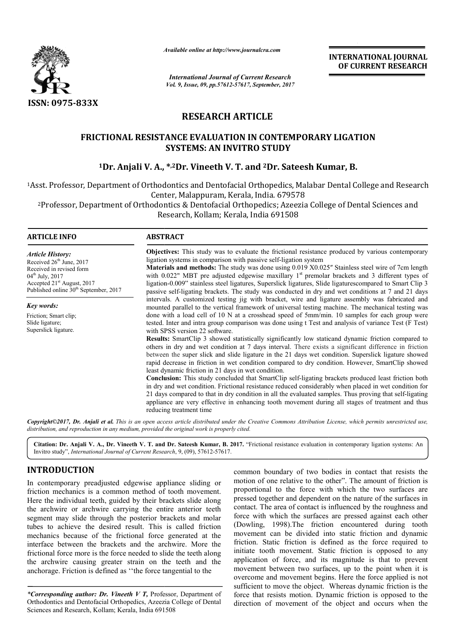

*Available online at http://www.journal http://www.journalcra.com*

*International Journal of Current Research Vol. 9, Issue, 09, pp.57612-57617, September, 2017* **INTERNATIONAL JOURNAL OF CURRENT RESEARCH** 

# **RESEARCH ARTICLE**

# **FRICTIONAL RESISTANCE EVALUATION I IN CONTEMPORARY LIGATION** TIONAL RESISTANCE EVALUATION IN CONTEMPORARY LIGATION:<br>SYSTEMS: AN INVITRO STUDY<br><sup>1</sup>Dr. Anjali V. A., \*<sup>,2</sup>Dr. Vineeth V. T. and <sup>2</sup>Dr. Sateesh Kumar, B. **SYSTEMS: AN INVITRO STUDY**

<sup>1</sup>Asst. Professor, Department of Orthodontics and Dentofacial Orthopedics, Malabar Dental College and Research Center, Malappuram, Kerala, India. 679578 and Dentofacial Orthopedics, Malabar Dental College and Resear<br>lappuram, Kerala, India. 679578<br>Dentofacial Orthopedics; Azeezia College of Dental Sciences and

2Professor, Department of Orthodontics & Dentofacial Orthopedics; Azeezia College of Dental Sciences and Professor, Kollam; Kerala, India <sup>691508</sup> Research, Kollam: Kerala, India 691508

### **ARTICLE INFO ABSTRACT**

*Article History:* Received  $26<sup>th</sup>$  June, 2017 Received in revised form 04<sup>th</sup> July, 2017 Accepted 21st August, 2017 Published online  $30<sup>th</sup>$  September, 2017

*Key words:* Friction; Smart clip; Slide ligature; Superslick ligature.

**Objectives:**  This study was to evaluate the frictional resistance produced by various contemporary ligation systems in comparison with passive self-ligation system **Objectives:** This study was to evaluate the frictional resistance produced by various contemporary ligation systems in comparison with passive self-ligation system<br>**Materials and methods:** The study was done using 0.019 X with  $0.022$ " MBT pre adjusted edgewise maxillary  $1<sup>st</sup>$  premolar brackets and 3 different types of with  $0.022$ " MBT pre adjusted edgewise maxillary  $1<sup>st</sup>$  premolar brackets and 3 different types of ligation-0.009" stainless steel ligatures, Superslick ligatures, Slide ligaturescompared to Smart Clip 3 passive self-ligating brackets. The study was conducted in dry and wet conditions at 7 and 21 days intervals. A customized testing jig with bracket, wire and ligature assembly was fabricated and mounted parallel to the vertical framework of universal testing machine. The mechanical testing was done with a load cell of 10 N at a crosshead speed of 5mm/min. 10 samples for each group were tested. Inter and intra group comparison was done using t Test and analysis of variance Test (F Test) with SPSS version 22 software. **Results:** SmartClip 3 showed statistically significantly low staticand dynamic friction compared to passive self-ligating brackets. The study was conducted in dry and wet conditions at 7 and 21 days<br>intervals. A customized testing jig with bracket, wire and ligature assembly was fabricated and<br>mounted parallel to the ver

others in dry and wet condition at 7 days interval. There exists a significant difference in friction between the super slick and slide ligature in the 21 days wet condition. Superslick ligature showed rapid decrease in friction in wet condition compared to dry condition. However, SmartClip showed least dynamic friction in 21 days in wet condition.

**Conclusion:**  This study concluded that SmartClip self-ligating brackets produced least friction both in dry and wet condition. Frictional resistance reduced considerably when placed in wet condition for 21 days compared to that in dry condition in all the evaluated samples. Thus proving that self-ligating appliance are very effective in enhancing tooth movement during all stages of treatment and thus reducing treatment time

*Copyright©2017, Dr. Anjali et al. This is an open access article distributed under the Creative Commons Attribution License, which ribution permits unrestricted use, distribution, and reproduction in any medium, provided the original work is properly cited.*

Citation: Dr. Anjali V. A., Dr. Vineeth V. T. and Dr. Sateesh Kumar, B. 2017. "Frictional resistance evaluation in contemporary ligation systems: An Invitro study", *International Journal of Current Research* , 9, (09), 57612-57617.

# **INTRODUCTION**

In contemporary preadjusted edgewise appliance sliding or friction mechanics is a common method of tooth movement. Here the individual teeth, guided by their brackets slide along the archwire or archwire carrying the entire anterior teeth segment may slide through the posterior brackets and molar tubes to achieve the desired result. This is called friction mechanics because of the frictional force generated at the interface between the brackets and the archwire. More the frictional force more is the force needed to slide the teeth along the archwire causing greater strain on the teeth and the anchorage. Friction is defined as ''the force tangential to the

\*Corresponding author: Dr. Vineeth V T, Professor, Department of Orthodontics and Dentofacial Orthopedics, Azeezia College of D Dental Sciences and Research, Kollam; Kerala, India 691508

common boundary of two bodies in contact that resists the motion of one relative to the other". The amount of friction is proportional to the force with which the two surfaces are pressed together and dependent on the nature of the surfaces in contact. The area of contact is influenced by the roughness and force with which the surfaces are pressed against each other (Dowling, 1998).The friction encountered during tooth movement can be divided into static friction and dynamic friction. Static friction is defined as the force required to initiate tooth movement. Static friction is opposed to any application of force, and its magnitude is that to prevent movement between two surfaces, up to the point when it is initiate tooth movement. Static friction is opposed to any application of force, and its magnitude is that to prevent movement between two surfaces, up to the point when it is overcome and movement begins. Here the force a sufficient to move the object. Whereas dynamic friction is the force that resists motion. Dynamic friction is opposed to the direction of movement of the object and occurs when the In boundary of two bodies in contact that resists the of one relative to the other". The amount of friction is ional to the force with which the two surfaces are together and dependent on the nature of the surfaces in The INTERNATIONAL JOURNAL<br>
OF CURRENT RESEARCH<br>
7<br>
TO CURRENT RESEARCH<br>
7<br>
TO CURRENT RESEARCH<br>
7<br>
MADAARY LIGATION<br>
teesh Kumar, B.<br>
Malabar Dental College and Research<br>
578<br>
F578<br>
and instance produced by various contemporar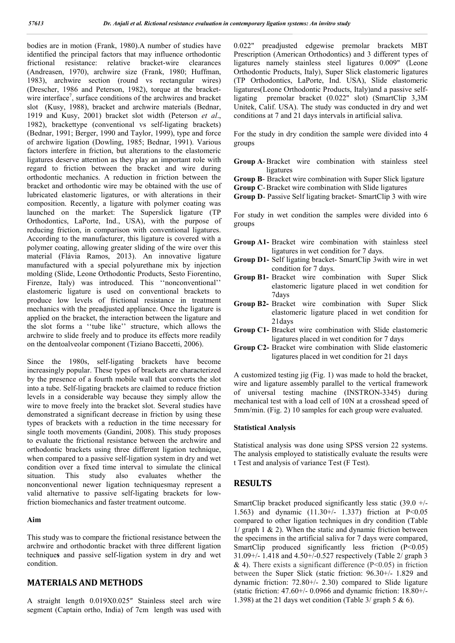bodies are in motion (Frank, 1980).A number of studies have identified the principal factors that may influence orthodontic frictional resistance: relative bracket-wire clearances (Andreasen, 1970), archwire size (Frank, 1980; Huffman, 1983), archwire section (round vs rectangular wires) (Drescher, 1986 and Peterson, 1982), torque at the bracketwire interface<sup>7</sup>, surface conditions of the archwires and bracket slot (Kusy, 1988), bracket and archwire materials (Bednar, 1919 and Kusy, 2001) bracket slot width (Peterson *et al*., 1982), brackettype (conventional vs self-ligating brackets) (Bednar, 1991; Berger, 1990 and Taylor, 1999), type and force of archwire ligation (Dowling, 1985; Bednar, 1991). Various factors interfere in friction, but alterations to the elastomeric ligatures deserve attention as they play an important role with regard to friction between the bracket and wire during orthodontic mechanics. A reduction in friction between the bracket and orthodontic wire may be obtained with the use of lubricated elastomeric ligatures, or with alterations in their composition. Recently, a ligature with polymer coating was launched on the market: The Superslick ligature (TP Orthodontics, LaPorte, Ind., USA), with the purpose of reducing friction, in comparison with conventional ligatures. According to the manufacturer, this ligature is covered with a polymer coating, allowing greater sliding of the wire over this material (Flávia Ramos, 2013). An innovative ligature manufactured with a special polyurethane mix by injection molding (Slide, Leone Orthodontic Products, Sesto Fiorentino, Firenze, Italy) was introduced. This ''nonconventional'' elastomeric ligature is used on conventional brackets to produce low levels of frictional resistance in treatment mechanics with the preadjusted appliance. Once the ligature is applied on the bracket, the interaction between the ligature and the slot forms a ''tube like'' structure, which allows the archwire to slide freely and to produce its effects more readily on the dentoalveolar component (Tiziano Baccetti, 2006).

Since the 1980s, self-ligating brackets have become increasingly popular. These types of brackets are characterized by the presence of a fourth mobile wall that converts the slot into a tube. Self-ligating brackets are claimed to reduce friction levels in a considerable way because they simply allow the wire to move freely into the bracket slot. Several studies have demonstrated a significant decrease in friction by using these types of brackets with a reduction in the time necessary for single tooth movements (Gandini, 2008). This study proposes to evaluate the frictional resistance between the archwire and orthodontic brackets using three different ligation technique, when compared to a passive self-ligation system in dry and wet condition over a fixed time interval to simulate the clinical situation. This study also evaluates whether the nonconventional newer ligation techniquesmay represent a valid alternative to passive self-ligating brackets for lowfriction biomechanics and faster treatment outcome.

### **Aim**

This study was to compare the frictional resistance between the archwire and orthodontic bracket with three different ligation technique**s** and passive self-ligation system in dry and wet condition.

# **MATERIALS AND METHODS**

A straight length 0.019X0.025″ Stainless steel arch wire segment (Captain ortho, India) of 7cm length was used with

0.022" preadjusted edgewise premolar brackets MBT Prescription (American Orthodontics) and 3 different types of ligatures namely stainless steel ligatures 0.009" (Leone Orthodontic Products, Italy), Super Slick elastomeric ligatures (TP Orthodontics, LaPorte, Ind. USA), Slide elastomeric ligatures(Leone Orthodontic Products, Italy)and a passive self-<br>ligating premolar bracket (0.022" slot) (SmartClip 3,3M premolar bracket (0.022" slot) (SmartClip 3,3M Unitek, Calif. USA). The study was conducted in dry and wet conditions at 7 and 21 days intervals in artificial saliva.

For the study in dry condition the sample were divided into 4 groups

- **Group A**-Bracket wire combination with stainless steel ligatures
- **Group B** Bracket wire combination with Super Slick ligature
- **Group C**-Bracket wire combination with Slide ligatures
- **Group D** Passive Self ligating bracket- SmartClip 3 with wire

For study in wet condition the samples were divided into 6 groups

- **Group A1-** Bracket wire combination with stainless steel ligatures in wet condition for 7 days.
- **Group D1-** Self ligating bracket- SmartClip 3with wire in wet condition for 7 days.
- **Group B1-** Bracket wire combination with Super Slick elastomeric ligature placed in wet condition for 7days
- **Group B2-** Bracket wire combination with Super Slick elastomeric ligature placed in wet condition for 21days
- **Group C1-** Bracket wire combination with Slide elastomeric ligatures placed in wet condition for 7 days
- **Group C2-** Bracket wire combination with Slide elastomeric ligatures placed in wet condition for 21 days

A customized testing jig (Fig. 1) was made to hold the bracket, wire and ligature assembly parallel to the vertical framework of universal testing machine (INSTRON-3345) during mechanical test with a load cell of 10N at a crosshead speed of 5mm/min. (Fig. 2) 10 samples for each group were evaluated.

### **Statistical Analysis**

Statistical analysis was done using SPSS version 22 systems. The analysis employed to statistically evaluate the results were t Test and analysis of variance Test (F Test).

# **RESULTS**

SmartClip bracket produced significantly less static (39.0 +/- 1.563) and dynamic (11.30+/- 1.337) friction at P<0.05 compared to other ligation techniques in dry condition (Table  $1/$  graph  $1 \& 2)$ . When the static and dynamic friction between the specimens in the artificial saliva for 7 days were compared, SmartClip produced significantly less friction (P<0.05) 31.09+/- 1.418 and 4.50+/-0.527 respectively (Table 2/ graph 3  $\&$  4). There exists a significant difference (P<0.05) in friction between the Super Slick (static friction: 96.30+/- 1.829 and dynamic friction: 72.80+/- 2.30) compared to Slide ligature (static friction: 47.60+/- 0.0966 and dynamic friction: 18.80+/- 1.398) at the 21 days wet condition (Table 3/ graph 5 & 6).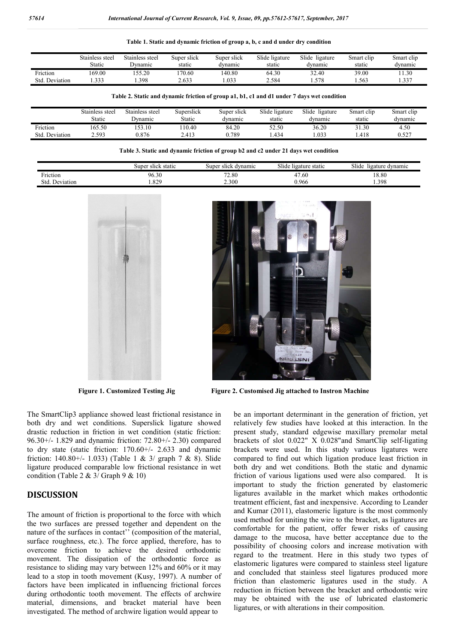|  |  | Table 1. Static and dynamic friction of group a, b, c and d under dry condition |
|--|--|---------------------------------------------------------------------------------|
|--|--|---------------------------------------------------------------------------------|

|                | Stainless steel<br>Static | Stainless steel<br>Jynamic | Super slick<br>static | Super slick<br>dynamic | Slide ligature<br>static | Slide<br>ligature<br>dynamic | Smart clip<br>static | Smart clip<br>dynamic |
|----------------|---------------------------|----------------------------|-----------------------|------------------------|--------------------------|------------------------------|----------------------|-----------------------|
| Friction       | 69.00                     | 55.20                      | 170.60                | 140.80                 | 64.30                    | 32.40                        | 39.00                | 11.30                 |
| Std. Deviation | .333                      | 1.398                      | 2.633                 | .033                   | 2.584                    | .578                         | .563                 | 1.337                 |

#### **Table 2. Static and dynamic friction of group a1, b1, c1 and d1 under 7 days wet condition**

|                   | Stainless steel | Stainless steel | Superslick | Super slick | Slide ligature | Slide<br>ligature | Smart clip | Smart clip |
|-------------------|-----------------|-----------------|------------|-------------|----------------|-------------------|------------|------------|
|                   | <b>Static</b>   | Dvnamic         | Static     | dvnamic     | static         | dvnamic           | static     | dvnamic    |
| Friction          | 165.50          | 53.10           | 10.40      | 84.20       | 52.50          | 36.20             | 31.30      | 4.50       |
| Deviation<br>Std. | 2.593           | 0.876           | 2.413      | 0.789       | .434           | .033              | .418       | 0.527      |

**Table 3. Static and dynamic friction of group b2 and c2 under 21 days wet condition**

|                                              | super<br>static<br>slick | dynamic<br>super<br>slick | $\sim$ 1 $\sim$ 1<br>: static<br>slide<br>ligature | $^{\sim}$<br>ligature dynamic<br>511de |
|----------------------------------------------|--------------------------|---------------------------|----------------------------------------------------|----------------------------------------|
| - -<br><sup>-</sup> riction                  | 96.30                    | 72.80                     | . .60<br>ட                                         | 18.80                                  |
| $\overline{\phantom{a}}$<br>Std<br>Deviation | $\circ$ $\circ$<br>L.O∠  | 2.300                     | 0.966                                              | 1.398                                  |





**Figure 1. Customized Testing Jig Figure 2. Customised Jig attached to Instron Machine** 

The SmartClip3 appliance showed least frictional resistance in both dry and wet conditions. Superslick ligature showed drastic reduction in friction in wet condition (static friction: 96.30+/- 1.829 and dynamic friction: 72.80+/- 2.30) compared to dry state (static friction: 170.60+/- 2.633 and dynamic friction:  $140.80^{+/-}$  1.033) (Table 1 & 3/ graph 7 & 8). Slide ligature produced comparable low frictional resistance in wet condition (Table 2  $\&$  3/ Graph 9  $\&$  10)

## **DISCUSSION**

The amount of friction is proportional to the force with which the two surfaces are pressed together and dependent on the nature of the surfaces in contact'' (composition of the material, surface roughness, etc.). The force applied, therefore, has to overcome friction to achieve the desired orthodontic movement. The dissipation of the orthodontic force as resistance to sliding may vary between 12% and 60% or it may lead to a stop in tooth movement (Kusy, 1997). A number of factors have been implicated in influencing frictional forces during orthodontic tooth movement. The effects of archwire material, dimensions, and bracket material have been investigated. The method of archwire ligation would appear to

be an important determinant in the generation of friction, yet relatively few studies have looked at this interaction. In the present study, standard edgewise maxillary premolar metal brackets of slot 0.022" X 0.028"and SmartClip self-ligating brackets were used. In this study various ligatures were compared to find out which ligation produce least friction in both dry and wet conditions. Both the static and dynamic friction of various ligations used were also compared. It is important to study the friction generated by elastomeric ligatures available in the market which makes orthodontic treatment efficient, fast and inexpensive. According to Leander and Kumar (2011), elastomeric ligature is the most commonly used method for uniting the wire to the bracket, as ligatures are comfortable for the patient, offer fewer risks of causing damage to the mucosa, have better acceptance due to the possibility of choosing colors and increase motivation with regard to the treatment. Here in this study two types of elastomeric ligatures were compared to stainless steel ligature and concluded that stainless steel ligatures produced more friction than elastomeric ligatures used in the study. A reduction in friction between the bracket and orthodontic wire may be obtained with the use of lubricated elastomeric ligatures, or with alterations in their composition.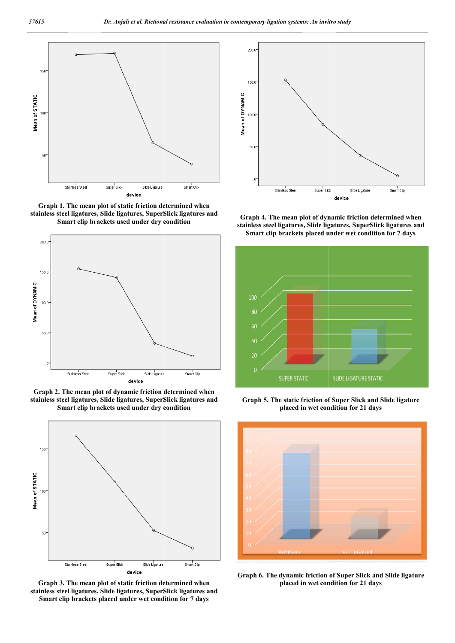

**Graph 1. The mean plot of static friction determined when stainless steel ligatures, Slide ligatures, SuperSlick ligatures and Smart clip brackets used under dry con condition**



**Graph 2. The mean plot of dynamic friction determined when stainless steel ligatures, Slide ligatures, SuperSlick ligatures and Smart clip brackets used under dry condition**



**Graph 3. The mean plot of static friction determined when stainless steel ligatures, Slide ligatures, SuperSlick ligatures and Smart clip brackets placed under wet condition for 7 days**



**stainless steel ligatures, Slide ligatures, SuperSlick ligatures and Smart clip brackets placed under wet condition**  The mean plot of dynamic friction determined wh<br>eel ligatures, Slide ligatures, SuperSlick ligatures **:**<br>lip brackets placed under wet condition for 7 days



**Graph 5. The static friction of Super Slick and Slide ligature friction of Super Slick placed in wet condition for 21 days**



**Graph 6. The dynamic friction of Super Super Slick and Slide ligature placed in wet condition for 21 days**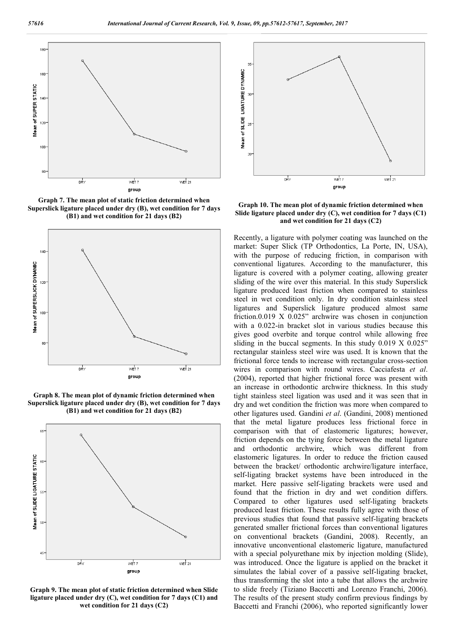

**Graph 7. The mean plot of static friction determined when Superslick ligature placed under dry (B), wet condition for 7 days (B1) and wet condition for 21 days (B2)**



**Graph 8. The mean plot of dynamic friction determined when Superslick ligature placed under dry (B), wet condition for 7 days (B1) and wet condition for 21 days (B2)**



**Graph 9. The mean plot of static friction determined when Slide ligature placed under dry (C), wet condition for 7 days (C1) and wet condition for 21 days (C2)**



**Graph 10. The mean plot of dynamic friction determined when Slide ligature placed under dry (C), wet condition for 7 days (C1) and wet condition for 21 days (C2)**

Recently, a ligature with polymer coating was launched on the market: Super Slick (TP Orthodontics, La Porte, IN, USA), with the purpose of reducing friction, in comparison with conventional ligatures. According to the manufacturer, this ligature is covered with a polymer coating, allowing greater sliding of the wire over this material. In this study Superslick ligature produced least friction when compared to stainless steel in wet condition only. In dry condition stainless steel ligatures and Superslick ligature produced almost same friction.0.019 X 0.025" archwire was chosen in conjunction with a 0.022-in bracket slot in various studies because this gives good overbite and torque control while allowing free sliding in the buccal segments. In this study 0.019 X 0.025" rectangular stainless steel wire was used. It is known that the frictional force tends to increase with rectangular cross-section wires in comparison with round wires. Cacciafesta *et al*. (2004), reported that higher frictional force was present with an increase in orthodontic archwire thickness. In this study tight stainless steel ligation was used and it was seen that in dry and wet condition the friction was more when compared to other ligatures used. Gandini *et al*. (Gandini, 2008) mentioned that the metal ligature produces less frictional force in comparison with that of elastomeric ligatures; however, friction depends on the tying force between the metal ligature and orthodontic archwire, which was different from elastomeric ligatures. In order to reduce the friction caused between the bracket/ orthodontic archwire/ligature interface, self-ligating bracket systems have been introduced in the market. Here passive self-ligating brackets were used and found that the friction in dry and wet condition differs. Compared to other ligatures used self-ligating brackets produced least friction. These results fully agree with those of previous studies that found that passive self-ligating brackets generated smaller frictional forces than conventional ligatures on conventional brackets (Gandini, 2008). Recently, an innovative unconventional elastomeric ligature, manufactured with a special polyurethane mix by injection molding (Slide), was introduced. Once the ligature is applied on the bracket it simulates the labial cover of a passive self-ligating bracket, thus transforming the slot into a tube that allows the archwire to slide freely (Tiziano Baccetti and Lorenzo Franchi, 2006). The results of the present study confirm previous findings by Baccetti and Franchi (2006), who reported significantly lower